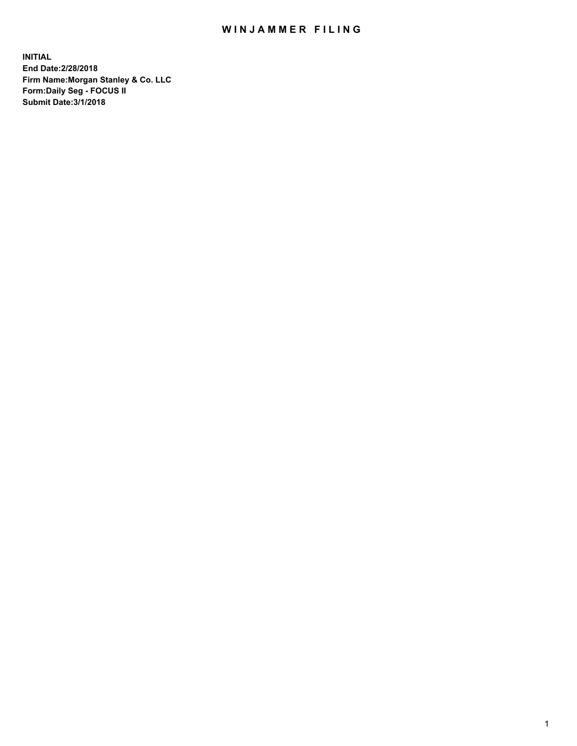## WIN JAMMER FILING

**INITIAL End Date:2/28/2018 Firm Name:Morgan Stanley & Co. LLC Form:Daily Seg - FOCUS II Submit Date:3/1/2018**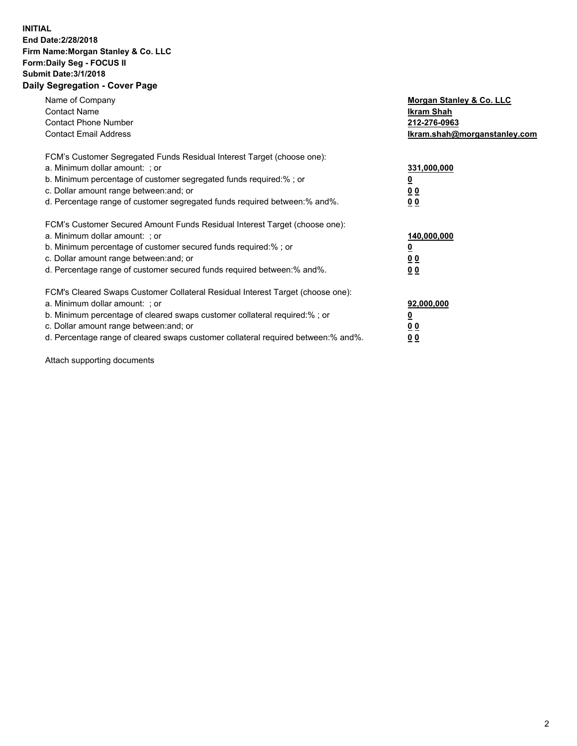## **INITIAL End Date:2/28/2018 Firm Name:Morgan Stanley & Co. LLC Form:Daily Seg - FOCUS II Submit Date:3/1/2018 Daily Segregation - Cover Page**

| Name of Company<br><b>Contact Name</b><br><b>Contact Phone Number</b><br><b>Contact Email Address</b>                                                                                                                                                                                                                          | Morgan Stanley & Co. LLC<br>Ikram Shah<br>212-276-0963<br>lkram.shah@morganstanley.com |
|--------------------------------------------------------------------------------------------------------------------------------------------------------------------------------------------------------------------------------------------------------------------------------------------------------------------------------|----------------------------------------------------------------------------------------|
| FCM's Customer Segregated Funds Residual Interest Target (choose one):<br>a. Minimum dollar amount: ; or<br>b. Minimum percentage of customer segregated funds required:%; or<br>c. Dollar amount range between: and; or<br>d. Percentage range of customer segregated funds required between: % and %.                        | 331,000,000<br>0 <sub>0</sub><br>00                                                    |
| FCM's Customer Secured Amount Funds Residual Interest Target (choose one):<br>a. Minimum dollar amount: ; or<br>b. Minimum percentage of customer secured funds required:%; or<br>c. Dollar amount range between: and; or<br>d. Percentage range of customer secured funds required between:% and%.                            | 140,000,000<br>0 <sub>0</sub><br>0 <sub>0</sub>                                        |
| FCM's Cleared Swaps Customer Collateral Residual Interest Target (choose one):<br>a. Minimum dollar amount: ; or<br>b. Minimum percentage of cleared swaps customer collateral required:% ; or<br>c. Dollar amount range between: and; or<br>d. Percentage range of cleared swaps customer collateral required between:% and%. | 92,000,000<br>0 <sub>0</sub><br>0 <sub>0</sub>                                         |

Attach supporting documents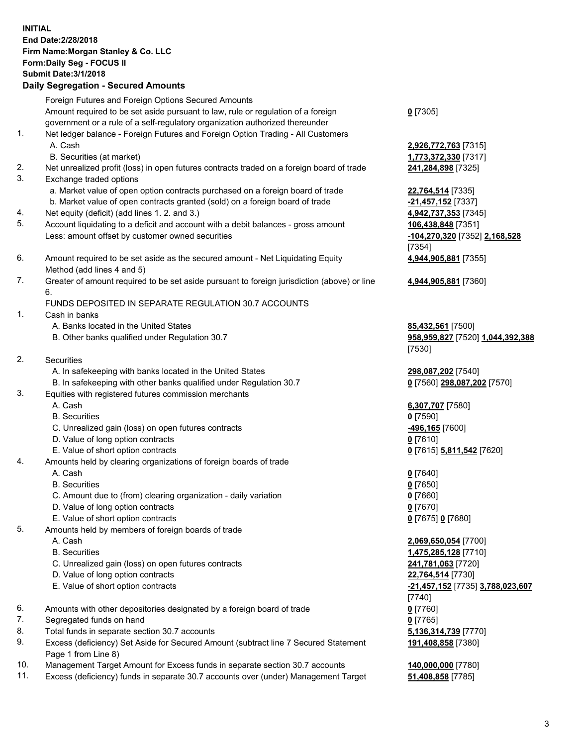## **INITIAL End Date:2/28/2018 Firm Name:Morgan Stanley & Co. LLC Form:Daily Seg - FOCUS II Submit Date:3/1/2018 Daily Segregation - Secured Amounts** Foreign Futures and Foreign Options Secured Amounts Amount required to be set aside pursuant to law, rule or regulation of a foreign government or a rule of a self-regulatory organization authorized thereunder 1. Net ledger balance - Foreign Futures and Foreign Option Trading - All Customers A. Cash **2,926,772,763** [7315] B. Securities (at market) **1,773,372,330** [7317] 2. Net unrealized profit (loss) in open futures contracts traded on a foreign board of trade **241,284,898** [7325] 3. Exchange traded options a. Market value of open option contracts purchased on a foreign board of trade **22,764,514** [7335] b. Market value of open contracts granted (sold) on a foreign board of trade **-21,457,152** [7337] 4. Net equity (deficit) (add lines 1. 2. and 3.) **4,942,737,353** [7345] 5. Account liquidating to a deficit and account with a debit balances - gross amount **106,438,848** [7351] Less: amount offset by customer owned securities **-104,270,320** [7352] **2,168,528** 6. Amount required to be set aside as the secured amount - Net Liquidating Equity Method (add lines 4 and 5) 7. Greater of amount required to be set aside pursuant to foreign jurisdiction (above) or line 6. FUNDS DEPOSITED IN SEPARATE REGULATION 30.7 ACCOUNTS 1. Cash in banks A. Banks located in the United States **85,432,561** [7500] B. Other banks qualified under Regulation 30.7 **958,959,827** [7520] **1,044,392,388** 2. Securities A. In safekeeping with banks located in the United States **298,087,202** [7540] B. In safekeeping with other banks qualified under Regulation 30.7 **0** [7560] **298,087,202** [7570] 3. Equities with registered futures commission merchants A. Cash **6,307,707** [7580] B. Securities **0** [7590] C. Unrealized gain (loss) on open futures contracts **-496,165** [7600] D. Value of long option contracts **0** [7610] E. Value of short option contracts **0** [7615] **5,811,542** [7620]

- 4. Amounts held by clearing organizations of foreign boards of trade
	-
	-
	- C. Amount due to (from) clearing organization daily variation **0** [7660]
	- D. Value of long option contracts **0** [7670]
	- E. Value of short option contracts **0** [7675] **0** [7680]
- 5. Amounts held by members of foreign boards of trade
	-
	-
	- C. Unrealized gain (loss) on open futures contracts **241,781,063** [7720]
	- D. Value of long option contracts **22,764,514** [7730]
	- E. Value of short option contracts **-21,457,152** [7735] **3,788,023,607**
- 6. Amounts with other depositories designated by a foreign board of trade **0** [7760]
- 7. Segregated funds on hand **0** [7765]
- 8. Total funds in separate section 30.7 accounts **5,136,314,739** [7770]
- 9. Excess (deficiency) Set Aside for Secured Amount (subtract line 7 Secured Statement Page 1 from Line 8)
- 10. Management Target Amount for Excess funds in separate section 30.7 accounts **140,000,000** [7780]
- 11. Excess (deficiency) funds in separate 30.7 accounts over (under) Management Target **51,408,858** [7785]

**0** [7305]

[7354] **4,944,905,881** [7355]

**4,944,905,881** [7360]

[7530]

 A. Cash **0** [7640] B. Securities **0** [7650]

 A. Cash **2,069,650,054** [7700] B. Securities **1,475,285,128** [7710] [7740] **191,408,858** [7380]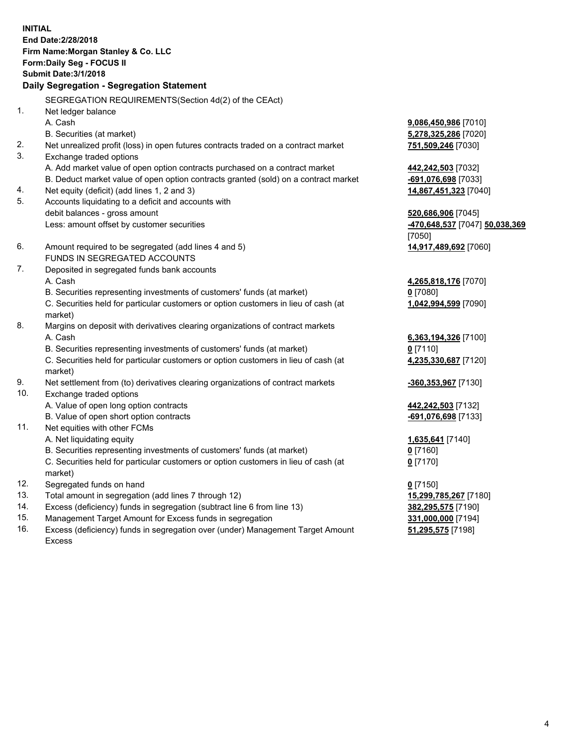**INITIAL End Date:2/28/2018 Firm Name:Morgan Stanley & Co. LLC Form:Daily Seg - FOCUS II Submit Date:3/1/2018 Daily Segregation - Segregation Statement** SEGREGATION REQUIREMENTS(Section 4d(2) of the CEAct) 1. Net ledger balance A. Cash **9,086,450,986** [7010] B. Securities (at market) **5,278,325,286** [7020] 2. Net unrealized profit (loss) in open futures contracts traded on a contract market **751,509,246** [7030] 3. Exchange traded options A. Add market value of open option contracts purchased on a contract market **442,242,503** [7032] B. Deduct market value of open option contracts granted (sold) on a contract market **-691,076,698** [7033] 4. Net equity (deficit) (add lines 1, 2 and 3) **14,867,451,323** [7040] 5. Accounts liquidating to a deficit and accounts with debit balances - gross amount **520,686,906** [7045] Less: amount offset by customer securities **-470,648,537** [7047] **50,038,369** [7050] 6. Amount required to be segregated (add lines 4 and 5) **14,917,489,692** [7060] FUNDS IN SEGREGATED ACCOUNTS 7. Deposited in segregated funds bank accounts A. Cash **4,265,818,176** [7070] B. Securities representing investments of customers' funds (at market) **0** [7080] C. Securities held for particular customers or option customers in lieu of cash (at market) **1,042,994,599** [7090] 8. Margins on deposit with derivatives clearing organizations of contract markets A. Cash **6,363,194,326** [7100] B. Securities representing investments of customers' funds (at market) **0** [7110] C. Securities held for particular customers or option customers in lieu of cash (at market) **4,235,330,687** [7120] 9. Net settlement from (to) derivatives clearing organizations of contract markets **-360,353,967** [7130] 10. Exchange traded options A. Value of open long option contracts **442,242,503** [7132] B. Value of open short option contracts **-691,076,698** [7133] 11. Net equities with other FCMs A. Net liquidating equity **1,635,641** [7140] B. Securities representing investments of customers' funds (at market) **0** [7160] C. Securities held for particular customers or option customers in lieu of cash (at market) **0** [7170] 12. Segregated funds on hand **0** [7150] 13. Total amount in segregation (add lines 7 through 12) **15,299,785,267** [7180] 14. Excess (deficiency) funds in segregation (subtract line 6 from line 13) **382,295,575** [7190] 15. Management Target Amount for Excess funds in segregation **331,000,000** [7194]

16. Excess (deficiency) funds in segregation over (under) Management Target Amount Excess

**51,295,575** [7198]